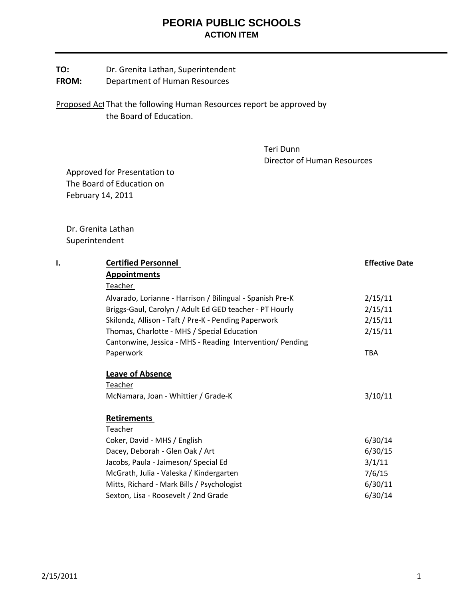## **PEORIA PUBLIC SCHOOLS ACTION ITEM**

**FROM:** Department of Human Resources

Proposed Act That the following Human Resources report be approved by the Board of Education.

> Teri Dunn Director of Human Resources

 Approved for Presentation to The Board of Education on February 14, 2011

 Dr. Grenita Lathan Superintendent

| Ι. | <b>Certified Personnel</b>                                | <b>Effective Date</b> |
|----|-----------------------------------------------------------|-----------------------|
|    | <b>Appointments</b>                                       |                       |
|    | Teacher                                                   |                       |
|    | Alvarado, Lorianne - Harrison / Bilingual - Spanish Pre-K | 2/15/11               |
|    | Briggs-Gaul, Carolyn / Adult Ed GED teacher - PT Hourly   | 2/15/11               |
|    | Skilondz, Allison - Taft / Pre-K - Pending Paperwork      | 2/15/11               |
|    | Thomas, Charlotte - MHS / Special Education               | 2/15/11               |
|    | Cantonwine, Jessica - MHS - Reading Intervention/ Pending |                       |
|    | Paperwork                                                 | <b>TBA</b>            |
|    | <b>Leave of Absence</b>                                   |                       |
|    | Teacher                                                   |                       |
|    | McNamara, Joan - Whittier / Grade-K                       | 3/10/11               |
|    | <b>Retirements</b>                                        |                       |
|    | Teacher                                                   |                       |
|    | Coker, David - MHS / English                              | 6/30/14               |
|    | Dacey, Deborah - Glen Oak / Art                           | 6/30/15               |
|    | Jacobs, Paula - Jaimeson/ Special Ed                      | 3/1/11                |
|    | McGrath, Julia - Valeska / Kindergarten                   | 7/6/15                |
|    | Mitts, Richard - Mark Bills / Psychologist                | 6/30/11               |
|    | Sexton, Lisa - Roosevelt / 2nd Grade                      | 6/30/14               |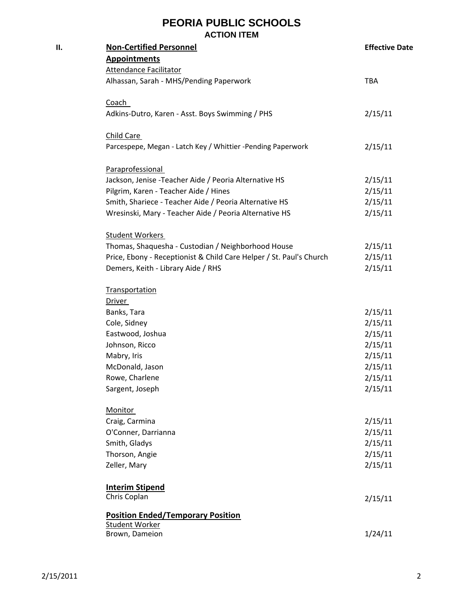## **PEORIA PUBLIC SCHOOLS ACTION ITEM**

| П. | <b>Non-Certified Personnel</b>                                      | <b>Effective Date</b> |
|----|---------------------------------------------------------------------|-----------------------|
|    | <b>Appointments</b>                                                 |                       |
|    | <b>Attendance Facilitator</b>                                       |                       |
|    | Alhassan, Sarah - MHS/Pending Paperwork                             | TBA                   |
|    | <b>Coach</b>                                                        |                       |
|    | Adkins-Dutro, Karen - Asst. Boys Swimming / PHS                     | 2/15/11               |
|    | Child Care                                                          |                       |
|    | Parcespepe, Megan - Latch Key / Whittier -Pending Paperwork         | 2/15/11               |
|    | Paraprofessional                                                    |                       |
|    | Jackson, Jenise - Teacher Aide / Peoria Alternative HS              | 2/15/11               |
|    | Pilgrim, Karen - Teacher Aide / Hines                               | 2/15/11               |
|    | Smith, Shariece - Teacher Aide / Peoria Alternative HS              | 2/15/11               |
|    | Wresinski, Mary - Teacher Aide / Peoria Alternative HS              | 2/15/11               |
|    | <b>Student Workers</b>                                              |                       |
|    | Thomas, Shaquesha - Custodian / Neighborhood House                  | 2/15/11               |
|    | Price, Ebony - Receptionist & Child Care Helper / St. Paul's Church | 2/15/11               |
|    | Demers, Keith - Library Aide / RHS                                  | 2/15/11               |
|    | <b>Transportation</b>                                               |                       |
|    | Driver                                                              |                       |
|    | Banks, Tara                                                         | 2/15/11               |
|    | Cole, Sidney                                                        | 2/15/11               |
|    | Eastwood, Joshua                                                    | 2/15/11               |
|    | Johnson, Ricco                                                      | 2/15/11               |
|    | Mabry, Iris                                                         | 2/15/11               |
|    | McDonald, Jason                                                     | 2/15/11               |
|    | Rowe, Charlene                                                      | 2/15/11               |
|    | Sargent, Joseph                                                     | 2/15/11               |
|    | <b>Monitor</b>                                                      |                       |
|    | Craig, Carmina                                                      | 2/15/11               |
|    | O'Conner, Darrianna                                                 | 2/15/11               |
|    | Smith, Gladys                                                       | 2/15/11               |
|    | Thorson, Angie                                                      | 2/15/11               |
|    | Zeller, Mary                                                        | 2/15/11               |
|    | <b>Interim Stipend</b>                                              |                       |
|    | Chris Coplan                                                        | 2/15/11               |
|    | <b>Position Ended/Temporary Position</b><br><b>Student Worker</b>   |                       |
|    | Brown, Dameion                                                      | 1/24/11               |
|    |                                                                     |                       |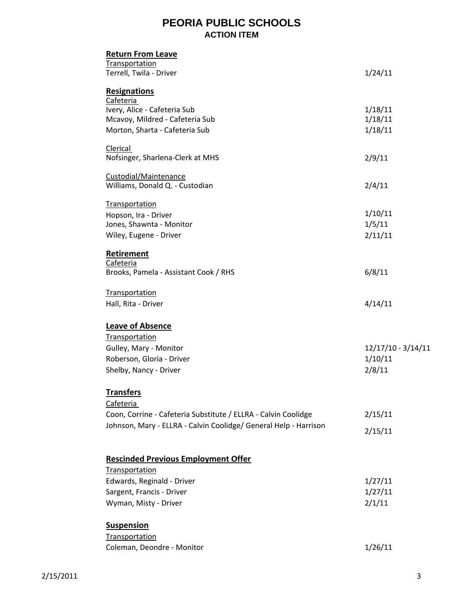## **PEORIA PUBLIC SCHOOLS ACTION ITEM**

| <b>Return From Leave</b>                                         |                    |
|------------------------------------------------------------------|--------------------|
| <b>Transportation</b><br>Terrell, Twila - Driver                 | 1/24/11            |
| <b>Resignations</b>                                              |                    |
| Cafeteria<br>Ivery, Alice - Cafeteria Sub                        | 1/18/11            |
| Mcavoy, Mildred - Cafeteria Sub                                  | 1/18/11            |
| Morton, Sharta - Cafeteria Sub                                   | 1/18/11            |
| Clerical                                                         |                    |
| Nofsinger, Sharlena-Clerk at MHS                                 | 2/9/11             |
| Custodial/Maintenance<br>Williams, Donald Q. - Custodian         | 2/4/11             |
|                                                                  |                    |
| Transportation<br>Hopson, Ira - Driver                           | 1/10/11            |
| Jones, Shawnta - Monitor                                         | 1/5/11             |
| Wiley, Eugene - Driver                                           | 2/11/11            |
| Retirement                                                       |                    |
| Cafeteria                                                        |                    |
| Brooks, Pamela - Assistant Cook / RHS                            | 6/8/11             |
| <b>Transportation</b>                                            |                    |
| Hall, Rita - Driver                                              | 4/14/11            |
| <b>Leave of Absence</b>                                          |                    |
| Transportation                                                   |                    |
| Gulley, Mary - Monitor                                           | 12/17/10 - 3/14/11 |
| Roberson, Gloria - Driver                                        | 1/10/11            |
| Shelby, Nancy - Driver                                           | 2/8/11             |
| <b>Transfers</b>                                                 |                    |
| Cafeteria                                                        |                    |
| Coon, Corrine - Cafeteria Substitute / ELLRA - Calvin Coolidge   | 2/15/11            |
| Johnson, Mary - ELLRA - Calvin Coolidge/ General Help - Harrison | 2/15/11            |
| <b>Rescinded Previous Employment Offer</b>                       |                    |
| Transportation                                                   |                    |
| Edwards, Reginald - Driver                                       | 1/27/11            |
| Sargent, Francis - Driver                                        | 1/27/11            |
| Wyman, Misty - Driver                                            | 2/1/11             |
|                                                                  |                    |
| <b>Suspension</b>                                                |                    |
| <b>Transportation</b>                                            |                    |
| Coleman, Deondre - Monitor                                       | 1/26/11            |